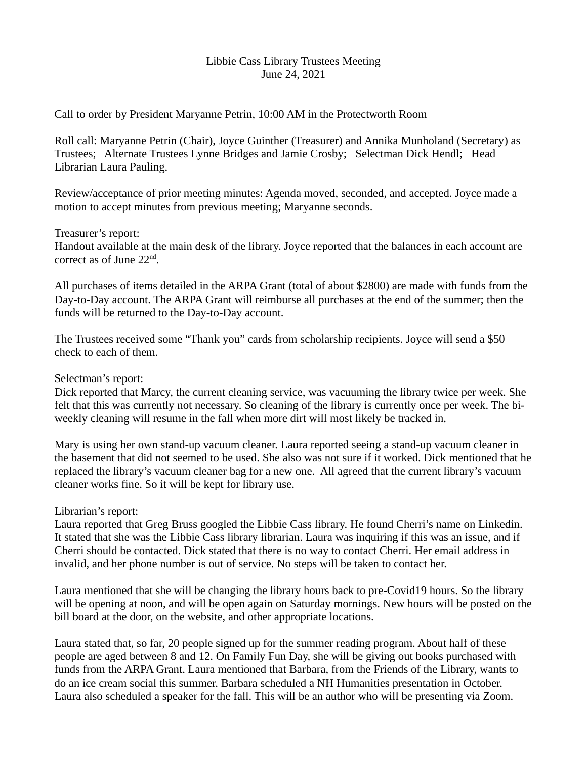### Libbie Cass Library Trustees Meeting June 24, 2021

Call to order by President Maryanne Petrin, 10:00 AM in the Protectworth Room

Roll call: Maryanne Petrin (Chair), Joyce Guinther (Treasurer) and Annika Munholand (Secretary) as Trustees; Alternate Trustees Lynne Bridges and Jamie Crosby; Selectman Dick Hendl; Head Librarian Laura Pauling.

Review/acceptance of prior meeting minutes: Agenda moved, seconded, and accepted. Joyce made a motion to accept minutes from previous meeting; Maryanne seconds.

## Treasurer's report:

Handout available at the main desk of the library. Joyce reported that the balances in each account are correct as of June 22<sup>nd</sup>.

All purchases of items detailed in the ARPA Grant (total of about \$2800) are made with funds from the Day-to-Day account. The ARPA Grant will reimburse all purchases at the end of the summer; then the funds will be returned to the Day-to-Day account.

The Trustees received some "Thank you" cards from scholarship recipients. Joyce will send a \$50 check to each of them.

Selectman's report:

Dick reported that Marcy, the current cleaning service, was vacuuming the library twice per week. She felt that this was currently not necessary. So cleaning of the library is currently once per week. The biweekly cleaning will resume in the fall when more dirt will most likely be tracked in.

Mary is using her own stand-up vacuum cleaner. Laura reported seeing a stand-up vacuum cleaner in the basement that did not seemed to be used. She also was not sure if it worked. Dick mentioned that he replaced the library's vacuum cleaner bag for a new one. All agreed that the current library's vacuum cleaner works fine. So it will be kept for library use.

# Librarian's report:

Laura reported that Greg Bruss googled the Libbie Cass library. He found Cherri's name on Linkedin. It stated that she was the Libbie Cass library librarian. Laura was inquiring if this was an issue, and if Cherri should be contacted. Dick stated that there is no way to contact Cherri. Her email address in invalid, and her phone number is out of service. No steps will be taken to contact her.

Laura mentioned that she will be changing the library hours back to pre-Covid19 hours. So the library will be opening at noon, and will be open again on Saturday mornings. New hours will be posted on the bill board at the door, on the website, and other appropriate locations.

Laura stated that, so far, 20 people signed up for the summer reading program. About half of these people are aged between 8 and 12. On Family Fun Day, she will be giving out books purchased with funds from the ARPA Grant. Laura mentioned that Barbara, from the Friends of the Library, wants to do an ice cream social this summer. Barbara scheduled a NH Humanities presentation in October. Laura also scheduled a speaker for the fall. This will be an author who will be presenting via Zoom.